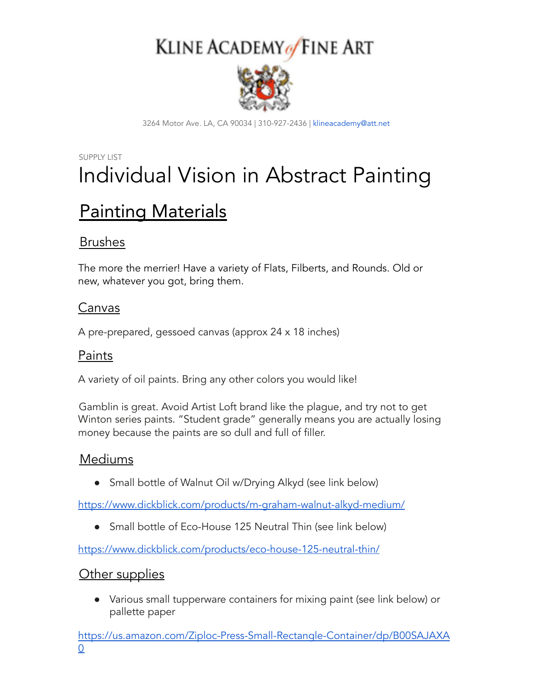## KLINE ACADEMY of FINE ART



3264 Motor Ave. LA, CA 90034 | 310-927-2436 | klineacademy@att.net

### SUPPLY LIST Individual Vision in Abstract Painting

## Painting Materials

#### Brushes

The more the merrier! Have a variety of Flats, Filberts, and Rounds. Old or new, whatever you got, bring them.

#### Canvas

A pre-prepared, gessoed canvas (approx 24 x 18 inches)

#### Paints

A variety of oil paints. Bring any other colors you would like!

Gamblin is great. Avoid Artist Loft brand like the plague, and try not to get Winton series paints. "Student grade" generally means you are actually losing money because the paints are so dull and full of filler.

#### Mediums

• Small bottle of Walnut Oil w/Drying Alkyd (see link below)

<https://www.dickblick.com/products/m-graham-walnut-alkyd-medium/>

• Small bottle of Eco-House 125 Neutral Thin (see link below)

<https://www.dickblick.com/products/eco-house-125-neutral-thin/>

#### Other supplies

● Various small tupperware containers for mixing paint (see link below) or pallette paper

[https://us.amazon.com/Ziploc-Press-Small-Rectangle-Container/dp/B00SAJAXA](https://us.amazon.com/Ziploc-Press-Small-Rectangle-Container/dp/B00SAJAXA0) [0](https://us.amazon.com/Ziploc-Press-Small-Rectangle-Container/dp/B00SAJAXA0)